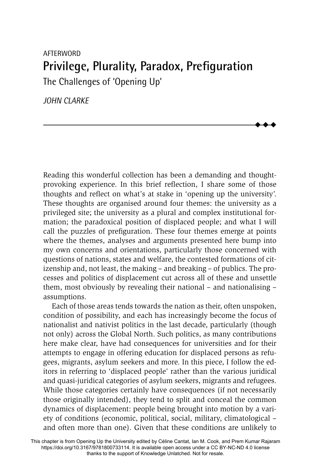# AFTERWORD **Privilege, Plurality, Paradox, Prefiguration** The Challenges of 'Opening Up'

*JOHN CLARKE*

Reading this wonderful collection has been a demanding and thoughtprovoking experience. In this brief reflection, I share some of those thoughts and reflect on what's at stake in 'opening up the university'. These thoughts are organised around four themes: the university as a privileged site; the university as a plural and complex institutional formation; the paradoxical position of displaced people; and what I will call the puzzles of prefiguration. These four themes emerge at points where the themes, analyses and arguments presented here bump into my own concerns and orientations, particularly those concerned with questions of nations, states and welfare, the contested formations of citizenship and, not least, the making – and breaking – of publics. The processes and politics of displacement cut across all of these and unsettle them, most obviously by revealing their national – and nationalising – assumptions.

 $\blacklozenge$  $\blacklozenge$  $\blacklozenge$ 

Each of those areas tends towards the nation as their, often unspoken, condition of possibility, and each has increasingly become the focus of nationalist and nativist politics in the last decade, particularly (though not only) across the Global North. Such politics, as many contributions here make clear, have had consequences for universities and for their attempts to engage in offering education for displaced persons as refugees, migrants, asylum seekers and more. In this piece, I follow the editors in referring to 'displaced people' rather than the various juridical and quasi-juridical categories of asylum seekers, migrants and refugees. While those categories certainly have consequences (if not necessarily those originally intended), they tend to split and conceal the common dynamics of displacement: people being brought into motion by a variety of conditions (economic, political, social, military, climatological – and often more than one). Given that these conditions are unlikely to

This chapter is from Opening Up the University edited by Céline Cantat, Ian M. Cook, and Prem Kumar Rajaram https://doi.org/10.3167/9781800733114. It is available open access under a CC BY-NC-ND 4.0 license thanks to the support of Knowledge Unlatched. Not for resale.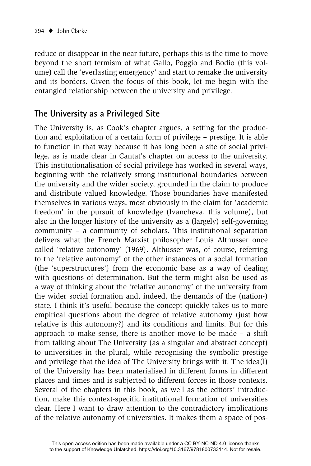reduce or disappear in the near future, perhaps this is the time to move beyond the short termism of what Gallo, Poggio and Bodio (this volume) call the 'everlasting emergency' and start to remake the university and its borders. Given the focus of this book, let me begin with the entangled relationship between the university and privilege.

#### **The University as a Privileged Site**

The University is, as Cook's chapter argues, a setting for the production and exploitation of a certain form of privilege – prestige. It is able to function in that way because it has long been a site of social privilege, as is made clear in Cantat's chapter on access to the university. This institutionalisation of social privilege has worked in several ways, beginning with the relatively strong institutional boundaries between the university and the wider society, grounded in the claim to produce and distribute valued knowledge. Those boundaries have manifested themselves in various ways, most obviously in the claim for 'academic freedom' in the pursuit of knowledge (Ivancheva, this volume), but also in the longer history of the university as a (largely) self-governing community – a community of scholars. This institutional separation delivers what the French Marxist philosopher Louis Althusser once called 'relative autonomy' (1969). Althusser was, of course, referring to the 'relative autonomy' of the other instances of a social formation (the 'superstructures') from the economic base as a way of dealing with questions of determination. But the term might also be used as a way of thinking about the 'relative autonomy' of the university from the wider social formation and, indeed, the demands of the (nation-) state. I think it's useful because the concept quickly takes us to more empirical questions about the degree of relative autonomy (just how relative is this autonomy?) and its conditions and limits. But for this approach to make sense, there is another move to be made – a shift from talking about The University (as a singular and abstract concept) to universities in the plural, while recognising the symbolic prestige and privilege that the idea of The University brings with it. The idea(l) of the University has been materialised in different forms in different places and times and is subjected to different forces in those contexts. Several of the chapters in this book, as well as the editors' introduction, make this context-specific institutional formation of universities clear. Here I want to draw attention to the contradictory implications of the relative autonomy of universities. It makes them a space of pos-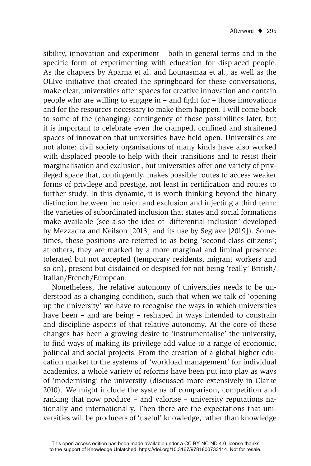sibility, innovation and experiment – both in general terms and in the specific form of experimenting with education for displaced people. As the chapters by Aparna et al. and Lounasmaa et al., as well as the OLIve initiative that created the springboard for these conversations, make clear, universities offer spaces for creative innovation and contain people who are willing to engage in  $-$  and fight for  $-$  those innovations and for the resources necessary to make them happen. I will come back to some of the (changing) contingency of those possibilities later, but it is important to celebrate even the cramped, confined and straitened spaces of innovation that universities have held open. Universities are not alone: civil society organisations of many kinds have also worked with displaced people to help with their transitions and to resist their marginalisation and exclusion, but universities offer one variety of privileged space that, contingently, makes possible routes to access weaker forms of privilege and prestige, not least in certification and routes to further study. In this dynamic, it is worth thinking beyond the binary distinction between inclusion and exclusion and injecting a third term: the varieties of subordinated inclusion that states and social formations make available (see also the idea of 'differential inclusion' developed by Mezzadra and Neilson [2013] and its use by Segrave [2019]). Sometimes, these positions are referred to as being 'second-class citizens'; at others, they are marked by a more marginal and liminal presence: tolerated but not accepted (temporary residents, migrant workers and so on), present but disdained or despised for not being 'really' British/ Italian/French/European.

Nonetheless, the relative autonomy of universities needs to be understood as a changing condition, such that when we talk of 'opening up the university' we have to recognise the ways in which universities have been – and are being – reshaped in ways intended to constrain and discipline aspects of that relative autonomy. At the core of these changes has been a growing desire to 'instrumentalise' the university, to find ways of making its privilege add value to a range of economic, political and social projects. From the creation of a global higher education market to the systems of 'workload management' for individual academics, a whole variety of reforms have been put into play as ways of 'modernising' the university (discussed more extensively in Clarke 2010). We might include the systems of comparison, competition and ranking that now produce – and valorise – university reputations nationally and internationally. Then there are the expectations that universities will be producers of 'useful' knowledge, rather than knowledge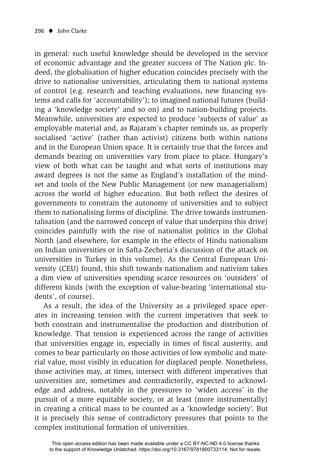in general: such useful knowledge should be developed in the service of economic advantage and the greater success of The Nation plc. Indeed, the globalisation of higher education coincides precisely with the drive to nationalise universities, articulating them to national systems of control (e.g. research and teaching evaluations, new financing systems and calls for 'accountability'); to imagined national futures (building a 'knowledge society' and so on) and to nation-building projects. Meanwhile, universities are expected to produce 'subjects of value' as employable material and, as Rajaram's chapter reminds us, as properly socialised 'active' (rather than activist) citizens both within nations and in the European Union space. It is certainly true that the forces and demands bearing on universities vary from place to place. Hungary's view of both what can be taught and what sorts of institutions may award degrees is not the same as England's installation of the mindset and tools of the New Public Management (or new managerialism) across the world of higher education. But both reflect the desires of governments to constrain the autonomy of universities and to subject them to nationalising forms of discipline. The drive towards instrumentalisation (and the narrowed concept of value that underpins this drive) coincides painfully with the rise of nationalist politics in the Global North (and elsewhere, for example in the effects of Hindu nationalism on Indian universities or in Safta-Zecheria's discussion of the attack on universities in Turkey in this volume). As the Central European University (CEU) found, this shift towards nationalism and nativism takes a dim view of universities spending scarce resources on 'outsiders' of different kinds (with the exception of value-bearing 'international students', of course).

As a result, the idea of the University as a privileged space operates in increasing tension with the current imperatives that seek to both constrain and instrumentalise the production and distribution of knowledge. That tension is experienced across the range of activities that universities engage in, especially in times of fiscal austerity, and comes to bear particularly on those activities of low symbolic and material value, most visibly in education for displaced people. Nonetheless, those activities may, at times, intersect with different imperatives that universities are, sometimes and contradictorily, expected to acknowledge and address, notably in the pressures to 'widen access' in the pursuit of a more equitable society, or at least (more instrumentally) in creating a critical mass to be counted as a 'knowledge society'. But it is precisely this sense of contradictory pressures that points to the complex institutional formation of universities.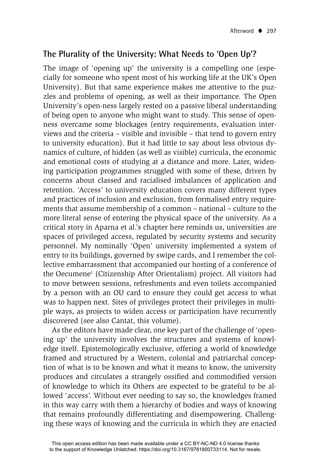#### **The Plurality of the University: What Needs to 'Open Up'?**

The image of 'opening up' the university is a compelling one (especially for someone who spent most of his working life at the UK's Open University). But that same experience makes me attentive to the puzzles and problems of opening, as well as their importance. The Open University's open-ness largely rested on a passive liberal understanding of being open to anyone who might want to study. This sense of openness overcame some blockages (entry requirements, evaluation interviews and the criteria – visible and invisible – that tend to govern entry to university education). But it had little to say about less obvious dynamics of culture, of hidden (as well as visible) curricula, the economic and emotional costs of studying at a distance and more. Later, widening participation programmes struggled with some of these, driven by concerns about classed and racialised imbalances of application and retention. 'Access' to university education covers many different types and practices of inclusion and exclusion, from formalised entry requirements that assume membership of a common – national – culture to the more literal sense of entering the physical space of the university. As a critical story in Aparna et al.'s chapter here reminds us, universities are spaces of privileged access, regulated by security systems and security personnel. My nominally 'Open' university implemented a system of entry to its buildings, governed by swipe cards, and I remember the collective embarrassment that accompanied our hosting of a conference of the Oecumene<sup>1</sup> (Citizenship After Orientalism) project. All visitors had to move between sessions, refreshments and even toilets accompanied by a person with an OU card to ensure they could get access to what was to happen next. Sites of privileges protect their privileges in multiple ways, as projects to widen access or participation have recurrently discovered (see also Cantat, this volume).

As the editors have made clear, one key part of the challenge of 'opening up' the university involves the structures and systems of knowledge itself. Epistemologically exclusive, offering a world of knowledge framed and structured by a Western, colonial and patriarchal conception of what is to be known and what it means to know, the university produces and circulates a strangely ossified and commodified version of knowledge to which its Others are expected to be grateful to be allowed 'access'. Without ever needing to say so, the knowledges framed in this way carry with them a hierarchy of bodies and ways of knowing that remains profoundly differentiating and disempowering. Challenging these ways of knowing and the curricula in which they are enacted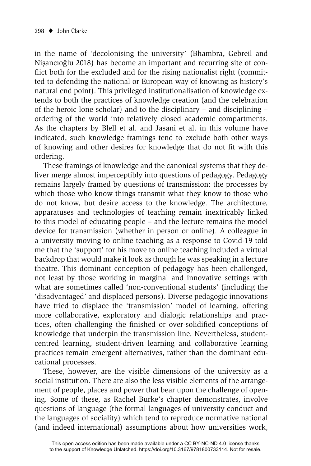in the name of 'decolonising the university' (Bhambra, Gebreil and Nişancıoğlu 2018) has become an important and recurring site of conflict both for the excluded and for the rising nationalist right (committed to defending the national or European way of knowing as history's natural end point). This privileged institutionalisation of knowledge extends to both the practices of knowledge creation (and the celebration of the heroic lone scholar) and to the disciplinary – and disciplining – ordering of the world into relatively closed academic compartments. As the chapters by Blell et al. and Jasani et al. in this volume have indicated, such knowledge framings tend to exclude both other ways of knowing and other desires for knowledge that do not fit with this ordering.

These framings of knowledge and the canonical systems that they deliver merge almost imperceptibly into questions of pedagogy. Pedagogy remains largely framed by questions of transmission: the processes by which those who know things transmit what they know to those who do not know, but desire access to the knowledge. The architecture, apparatuses and technologies of teaching remain inextricably linked to this model of educating people – and the lecture remains the model device for transmission (whether in person or online). A colleague in a university moving to online teaching as a response to Covid-19 told me that the 'support' for his move to online teaching included a virtual backdrop that would make it look as though he was speaking in a lecture theatre. This dominant conception of pedagogy has been challenged, not least by those working in marginal and innovative settings with what are sometimes called 'non-conventional students' (including the 'disadvantaged' and displaced persons). Diverse pedagogic innovations have tried to displace the 'transmission' model of learning, offering more collaborative, exploratory and dialogic relationships and practices, often challenging the finished or over-solidified conceptions of knowledge that underpin the transmission line. Nevertheless, studentcentred learning, student-driven learning and collaborative learning practices remain emergent alternatives, rather than the dominant educational processes.

These, however, are the visible dimensions of the university as a social institution. There are also the less visible elements of the arrangement of people, places and power that bear upon the challenge of opening. Some of these, as Rachel Burke's chapter demonstrates, involve questions of language (the formal languages of university conduct and the languages of sociality) which tend to reproduce normative national (and indeed international) assumptions about how universities work,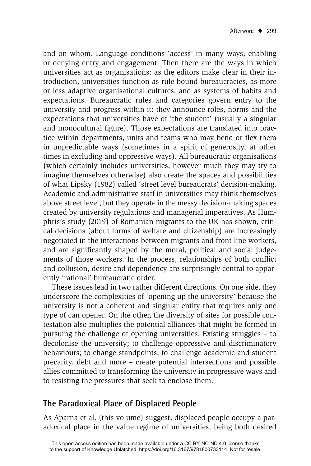and on whom. Language conditions 'access' in many ways, enabling or denying entry and engagement. Then there are the ways in which universities act as organisations: as the editors make clear in their introduction, universities function as rule-bound bureaucracies, as more or less adaptive organisational cultures, and as systems of habits and expectations. Bureaucratic rules and categories govern entry to the university and progress within it: they announce roles, norms and the expectations that universities have of 'the student' (usually a singular and monocultural figure). Those expectations are translated into practice within departments, units and teams who may bend or flex them in unpredictable ways (sometimes in a spirit of generosity, at other times in excluding and oppressive ways). All bureaucratic organisations (which certainly includes universities, however much they may try to imagine themselves otherwise) also create the spaces and possibilities of what Lipsky (1982) called 'street level bureaucrats' decision-making. Academic and administrative staff in universities may think themselves above street level, but they operate in the messy decision-making spaces created by university regulations and managerial imperatives. As Humphris's study (2019) of Romanian migrants to the UK has shown, critical decisions (about forms of welfare and citizenship) are increasingly negotiated in the interactions between migrants and front-line workers, and are significantly shaped by the moral, political and social judgements of those workers. In the process, relationships of both conflict and collusion, desire and dependency are surprisingly central to apparently 'rational' bureaucratic order.

These issues lead in two rather different directions. On one side, they underscore the complexities of 'opening up the university' because the university is not a coherent and singular entity that requires only one type of can opener. On the other, the diversity of sites for possible contestation also multiplies the potential alliances that might be formed in pursuing the challenge of opening universities. Existing struggles – to decolonise the university; to challenge oppressive and discriminatory behaviours; to change standpoints; to challenge academic and student precarity, debt and more – create potential intersections and possible allies committed to transforming the university in progressive ways and to resisting the pressures that seek to enclose them.

### **The Paradoxical Place of Displaced People**

As Aparna et al. (this volume) suggest, displaced people occupy a paradoxical place in the value regime of universities, being both desired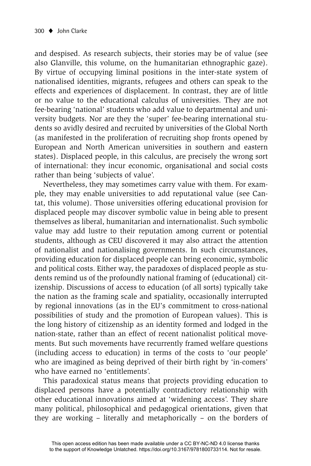and despised. As research subjects, their stories may be of value (see also Glanville, this volume, on the humanitarian ethnographic gaze). By virtue of occupying liminal positions in the inter-state system of nationalised identities, migrants, refugees and others can speak to the effects and experiences of displacement. In contrast, they are of little or no value to the educational calculus of universities. They are not fee-bearing 'national' students who add value to departmental and university budgets. Nor are they the 'super' fee-bearing international students so avidly desired and recruited by universities of the Global North (as manifested in the proliferation of recruiting shop fronts opened by European and North American universities in southern and eastern states). Displaced people, in this calculus, are precisely the wrong sort of international: they incur economic, organisational and social costs rather than being 'subjects of value'.

Nevertheless, they may sometimes carry value with them. For example, they may enable universities to add reputational value (see Cantat, this volume). Those universities offering educational provision for displaced people may discover symbolic value in being able to present themselves as liberal, humanitarian and internationalist. Such symbolic value may add lustre to their reputation among current or potential students, although as CEU discovered it may also attract the attention of nationalist and nationalising governments. In such circumstances, providing education for displaced people can bring economic, symbolic and political costs. Either way, the paradoxes of displaced people as students remind us of the profoundly national framing of (educational) citizenship. Discussions of access to education (of all sorts) typically take the nation as the framing scale and spatiality, occasionally interrupted by regional innovations (as in the EU's commitment to cross-national possibilities of study and the promotion of European values). This is the long history of citizenship as an identity formed and lodged in the nation-state, rather than an effect of recent nationalist political movements. But such movements have recurrently framed welfare questions (including access to education) in terms of the costs to 'our people' who are imagined as being deprived of their birth right by 'in-comers' who have earned no 'entitlements'.

This paradoxical status means that projects providing education to displaced persons have a potentially contradictory relationship with other educational innovations aimed at 'widening access'. They share many political, philosophical and pedagogical orientations, given that they are working – literally and metaphorically – on the borders of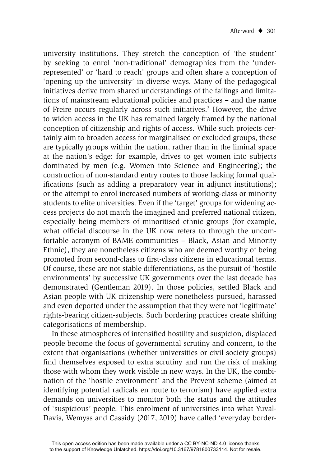university institutions. They stretch the conception of 'the student' by seeking to enrol 'non-traditional' demographics from the 'underrepresented' or 'hard to reach' groups and often share a conception of 'opening up the university' in diverse ways. Many of the pedagogical initiatives derive from shared understandings of the failings and limitations of mainstream educational policies and practices – and the name of Freire occurs regularly across such initiatives.<sup>2</sup> However, the drive to widen access in the UK has remained largely framed by the national conception of citizenship and rights of access. While such projects certainly aim to broaden access for marginalised or excluded groups, these are typically groups within the nation, rather than in the liminal space at the nation's edge: for example, drives to get women into subjects dominated by men (e.g. Women into Science and Engineering); the construction of non-standard entry routes to those lacking formal qualifications (such as adding a preparatory year in adjunct institutions); or the attempt to enrol increased numbers of working-class or minority students to elite universities. Even if the 'target' groups for widening access projects do not match the imagined and preferred national citizen, especially being members of minoritised ethnic groups (for example, what official discourse in the UK now refers to through the uncomfortable acronym of BAME communities – Black, Asian and Minority Ethnic), they are nonetheless citizens who are deemed worthy of being promoted from second-class to first-class citizens in educational terms. Of course, these are not stable differentiations, as the pursuit of 'hostile environments' by successive UK governments over the last decade has demonstrated (Gentleman 2019). In those policies, settled Black and Asian people with UK citizenship were nonetheless pursued, harassed and even deported under the assumption that they were not 'legitimate' rights-bearing citizen-subjects. Such bordering practices create shifting categorisations of membership.

In these atmospheres of intensified hostility and suspicion, displaced people become the focus of governmental scrutiny and concern, to the extent that organisations (whether universities or civil society groups) find themselves exposed to extra scrutiny and run the risk of making those with whom they work visible in new ways. In the UK, the combination of the 'hostile environment' and the Prevent scheme (aimed at identifying potential radicals en route to terrorism) have applied extra demands on universities to monitor both the status and the attitudes of 'suspicious' people. This enrolment of universities into what Yuval-Davis, Wemyss and Cassidy (2017, 2019) have called 'everyday border-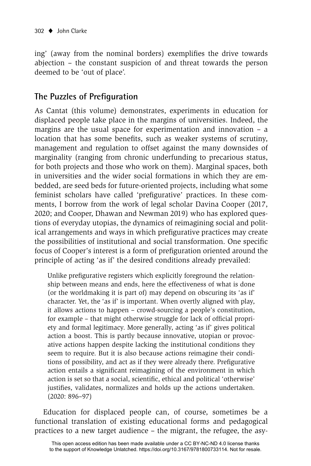ing' (away from the nominal borders) exemplifies the drive towards abjection – the constant suspicion of and threat towards the person deemed to be 'out of place'.

## **The Puzzles of Prefiguration**

As Cantat (this volume) demonstrates, experiments in education for displaced people take place in the margins of universities. Indeed, the margins are the usual space for experimentation and innovation – a location that has some benefits, such as weaker systems of scrutiny, management and regulation to offset against the many downsides of marginality (ranging from chronic underfunding to precarious status, for both projects and those who work on them). Marginal spaces, both in universities and the wider social formations in which they are embedded, are seed beds for future-oriented projects, including what some feminist scholars have called 'prefigurative' practices. In these comments, I borrow from the work of legal scholar Davina Cooper (2017, 2020; and Cooper, Dhawan and Newman 2019) who has explored questions of everyday utopias, the dynamics of reimagining social and political arrangements and ways in which prefigurative practices may create the possibilities of institutional and social transformation. One specific focus of Cooper's interest is a form of prefiguration oriented around the principle of acting 'as if' the desired conditions already prevailed:

Unlike prefigurative registers which explicitly foreground the relationship between means and ends, here the effectiveness of what is done (or the worldmaking it is part of) may depend on obscuring its 'as if' character. Yet, the 'as if' is important. When overtly aligned with play, it allows actions to happen – crowd-sourcing a people's constitution, for example – that might otherwise struggle for lack of official propriety and formal legitimacy. More generally, acting 'as if' gives political action a boost. This is partly because innovative, utopian or provocative actions happen despite lacking the institutional conditions they seem to require. But it is also because actions reimagine their conditions of possibility, and act as if they were already there. Prefigurative action entails a significant reimagining of the environment in which action is set so that a social, scientific, ethical and political 'otherwise' justifies, validates, normalizes and holds up the actions undertaken. (2020: 896–97)

Education for displaced people can, of course, sometimes be a functional translation of existing educational forms and pedagogical practices to a new target audience – the migrant, the refugee, the asy-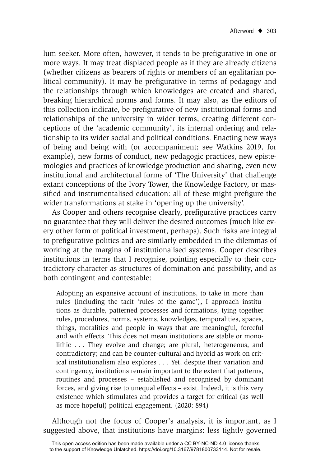lum seeker. More often, however, it tends to be prefigurative in one or more ways. It may treat displaced people as if they are already citizens (whether citizens as bearers of rights or members of an egalitarian political community). It may be prefigurative in terms of pedagogy and the relationships through which knowledges are created and shared, breaking hierarchical norms and forms. It may also, as the editors of this collection indicate, be prefigurative of new institutional forms and relationships of the university in wider terms, creating different conceptions of the 'academic community', its internal ordering and relationship to its wider social and political conditions. Enacting new ways of being and being with (or accompaniment; see Watkins 2019, for example), new forms of conduct, new pedagogic practices, new epistemologies and practices of knowledge production and sharing, even new institutional and architectural forms of 'The University' that challenge extant conceptions of the Ivory Tower, the Knowledge Factory, or massified and instrumentalised education: all of these might prefigure the wider transformations at stake in 'opening up the university'.

As Cooper and others recognise clearly, prefigurative practices carry no guarantee that they will deliver the desired outcomes (much like every other form of political investment, perhaps). Such risks are integral to prefigurative politics and are similarly embedded in the dilemmas of working at the margins of institutionalised systems. Cooper describes institutions in terms that I recognise, pointing especially to their contradictory character as structures of domination and possibility, and as both contingent and contestable:

Adopting an expansive account of institutions, to take in more than rules (including the tacit 'rules of the game'), I approach institutions as durable, patterned processes and formations, tying together rules, procedures, norms, systems, knowledges, temporalities, spaces, things, moralities and people in ways that are meaningful, forceful and with effects. This does not mean institutions are stable or monolithic . . . They evolve and change; are plural, heterogeneous, and contradictory; and can be counter-cultural and hybrid as work on critical institutionalism also explores . . . Yet, despite their variation and contingency, institutions remain important to the extent that patterns, routines and processes – established and recognised by dominant forces, and giving rise to unequal effects – exist. Indeed, it is this very existence which stimulates and provides a target for critical (as well as more hopeful) political engagement. (2020: 894)

Although not the focus of Cooper's analysis, it is important, as I suggested above, that institutions have margins: less tightly governed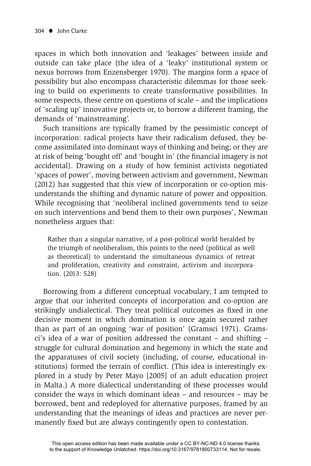spaces in which both innovation and 'leakages' between inside and outside can take place (the idea of a 'leaky' institutional system or nexus borrows from Enzensberger 1970). The margins form a space of possibility but also encompass characteristic dilemmas for those seeking to build on experiments to create transformative possibilities. In some respects, these centre on questions of scale – and the implications of 'scaling up' innovative projects or, to borrow a different framing, the demands of 'mainstreaming'.

Such transitions are typically framed by the pessimistic concept of incorporation: radical projects have their radicalism defused, they become assimilated into dominant ways of thinking and being; or they are at risk of being 'bought off' and 'bought in' (the financial imagery is not accidental). Drawing on a study of how feminist activists negotiated 'spaces of power', moving between activism and government, Newman (2012) has suggested that this view of incorporation or co-option misunderstands the shifting and dynamic nature of power and opposition. While recognising that 'neoliberal inclined governments tend to seize on such interventions and bend them to their own purposes', Newman nonetheless argues that:

Rather than a singular narrative, of a post-political world heralded by the triumph of neoliberalism, this points to the need (political as well as theoretical) to understand the simultaneous dynamics of retreat and proliferation, creativity and constraint, activism and incorporation. (2013: 528)

Borrowing from a different conceptual vocabulary, I am tempted to argue that our inherited concepts of incorporation and co-option are strikingly undialectical. They treat political outcomes as fixed in one decisive moment in which domination is once again secured rather than as part of an ongoing 'war of position' (Gramsci 1971). Gramsci's idea of a war of position addressed the constant – and shifting – struggle for cultural domination and hegemony in which the state and the apparatuses of civil society (including, of course, educational institutions) formed the terrain of conflict. (This idea is interestingly explored in a study by Peter Mayo [2005] of an adult education project in Malta.) A more dialectical understanding of these processes would consider the ways in which dominant ideas – and resources – may be borrowed, bent and redeployed for alternative purposes, framed by an understanding that the meanings of ideas and practices are never permanently fixed but are always contingently open to contestation.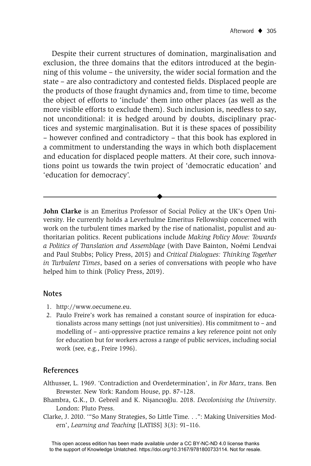Despite their current structures of domination, marginalisation and exclusion, the three domains that the editors introduced at the beginning of this volume – the university, the wider social formation and the state – are also contradictory and contested fields. Displaced people are the products of those fraught dynamics and, from time to time, become the object of efforts to 'include' them into other places (as well as the more visible efforts to exclude them). Such inclusion is, needless to say, not unconditional: it is hedged around by doubts, disciplinary practices and systemic marginalisation. But it is these spaces of possibility – however confined and contradictory – that this book has explored in a commitment to understanding the ways in which both displacement and education for displaced people matters. At their core, such innovations point us towards the twin project of 'democratic education' and 'education for democracy'.

**John Clarke** is an Emeritus Professor of Social Policy at the UK's Open University. He currently holds a Leverhulme Emeritus Fellowship concerned with work on the turbulent times marked by the rise of nationalist, populist and authoritarian politics. Recent publications include *Making Policy Move: Towards a Politics of Translation and Assemblage* (with Dave Bainton, Noémi Lendvai and Paul Stubbs; Policy Press, 2015) and *Critical Dialogues: Thinking Together in Turbulent Times*, based on a series of conversations with people who have helped him to think (Policy Press, 2019).

 $\blacklozenge$ 

#### **Notes**

- 1. http://www.oecumene.eu.
- 2. Paulo Freire's work has remained a constant source of inspiration for educationalists across many settings (not just universities). His commitment to – and modelling of – anti-oppressive practice remains a key reference point not only for education but for workers across a range of public services, including social work (see, e.g., Freire 1996).

#### **References**

- A lthusser, L. 1969. 'Contradiction and Overdetermination', in *For Marx*, trans. Ben Brewster. New York: Random House, pp. 87–128.
- Bhambra, G.K., D. Gebreil and K. Nişancıoğlu. 2018. *Decolonising the University*. London: Pluto Press.
- Clarke, J. 2010. '"So Many Strategies, So Little Time. . .": Making Universities Modern', *Learning and Teaching* [LATISS] 3(3): 91–116.